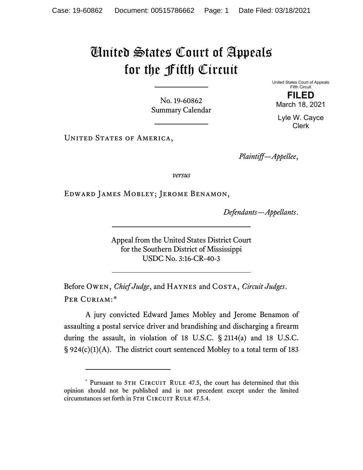## United States Court of Appeals for the Fifth Circuit

No. 19-60862 Summary Calendar United States Court of Appeals Fifth Circuit **FILED**

March 18, 2021

Lyle W. Cayce Clerk

UNITED STATES OF AMERICA,

*Plaintiff—Appellee*,

*versus*

Edward James Mobley; Jerome Benamon,

*Defendants—Appellants*.

Appeal from the United States District Court for the Southern District of Mississippi USDC No. 3:16-CR-40-3

Before Owen, *Chief Judge*, and Haynes and Costa, *Circuit Judges*. Per Curiam:[\\*](#page-0-0)

A jury convicted Edward James Mobley and Jerome Benamon of assaulting a postal service driver and brandishing and discharging a firearm during the assault, in violation of 18 U.S.C. § 2114(a) and 18 U.S.C. § 924(c)(1)(A). The district court sentenced Mobley to a total term of 183

<span id="page-0-0"></span><sup>\*</sup> Pursuant to 5TH CIRCUIT RULE 47.5, the court has determined that this opinion should not be published and is not precedent except under the limited circumstances set forth in 5TH CIRCUIT RULE 47.5.4.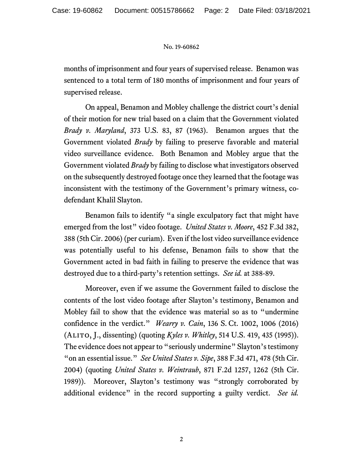## No. 19-60862

months of imprisonment and four years of supervised release. Benamon was sentenced to a total term of 180 months of imprisonment and four years of supervised release.

On appeal, Benamon and Mobley challenge the district court's denial of their motion for new trial based on a claim that the Government violated *Brady v. Maryland*, 373 U.S. 83, 87 (1963). Benamon argues that the Government violated *Brady* by failing to preserve favorable and material video surveillance evidence. Both Benamon and Mobley argue that the Government violated *Brady* by failing to disclose what investigators observed on the subsequently destroyed footage once they learned that the footage was inconsistent with the testimony of the Government's primary witness, codefendant Khalil Slayton.

Benamon fails to identify "a single exculpatory fact that might have emerged from the lost" video footage. *United States v. Moore*, 452 F.3d 382, 388 (5th Cir. 2006) (per curiam). Even if the lost video surveillance evidence was potentially useful to his defense, Benamon fails to show that the Government acted in bad faith in failing to preserve the evidence that was destroyed due to a third-party's retention settings. *See id.* at 388-89.

Moreover, even if we assume the Government failed to disclose the contents of the lost video footage after Slayton's testimony, Benamon and Mobley fail to show that the evidence was material so as to "undermine confidence in the verdict." *Wearry v. Cain*, 136 S. Ct. 1002, 1006 (2016) (Alito, J., dissenting) (quoting *Kyles v. Whitley*, 514 U.S. 419, 435 (1995)). The evidence does not appear to "seriously undermine" Slayton's testimony "on an essential issue." *See United States v. Sipe*, 388 F.3d 471, 478 (5th Cir. 2004) (quoting *United States v. Weintraub*, 871 F.2d 1257, 1262 (5th Cir. 1989)). Moreover, Slayton's testimony was "strongly corroborated by additional evidence" in the record supporting a guilty verdict. *See id.*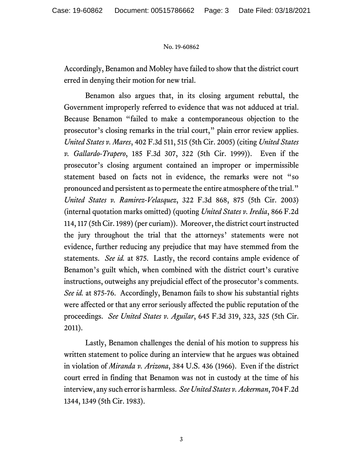## No. 19-60862

Accordingly, Benamon and Mobley have failed to show that the district court erred in denying their motion for new trial.

Benamon also argues that, in its closing argument rebuttal, the Government improperly referred to evidence that was not adduced at trial. Because Benamon "failed to make a contemporaneous objection to the prosecutor's closing remarks in the trial court," plain error review applies. *United States v. Mares*, 402 F.3d 511, 515 (5th Cir. 2005) (citing *United States v. Gallardo-Trapero*, 185 F.3d 307, 322 (5th Cir. 1999)). Even if the prosecutor's closing argument contained an improper or impermissible statement based on facts not in evidence, the remarks were not "so pronounced and persistent as to permeate the entire atmosphere of the trial." *United States v. Ramirez-Velasquez*, 322 F.3d 868, 875 (5th Cir. 2003) (internal quotation marks omitted) (quoting *United States v. Iredia*, 866 F.2d 114, 117 (5th Cir. 1989) (per curiam)). Moreover, the district court instructed the jury throughout the trial that the attorneys' statements were not evidence, further reducing any prejudice that may have stemmed from the statements. *See id.* at 875. Lastly, the record contains ample evidence of Benamon's guilt which, when combined with the district court's curative instructions, outweighs any prejudicial effect of the prosecutor's comments. *See id.* at 875-76. Accordingly, Benamon fails to show his substantial rights were affected or that any error seriously affected the public reputation of the proceedings. *See United States v. Aguilar*, 645 F.3d 319, 323, 325 (5th Cir. 2011).

Lastly, Benamon challenges the denial of his motion to suppress his written statement to police during an interview that he argues was obtained in violation of *Miranda v. Arizona*, 384 U.S. 436 (1966). Even if the district court erred in finding that Benamon was not in custody at the time of his interview, any such error is harmless. *See United States v. Ackerman*, 704 F.2d 1344, 1349 (5th Cir. 1983).